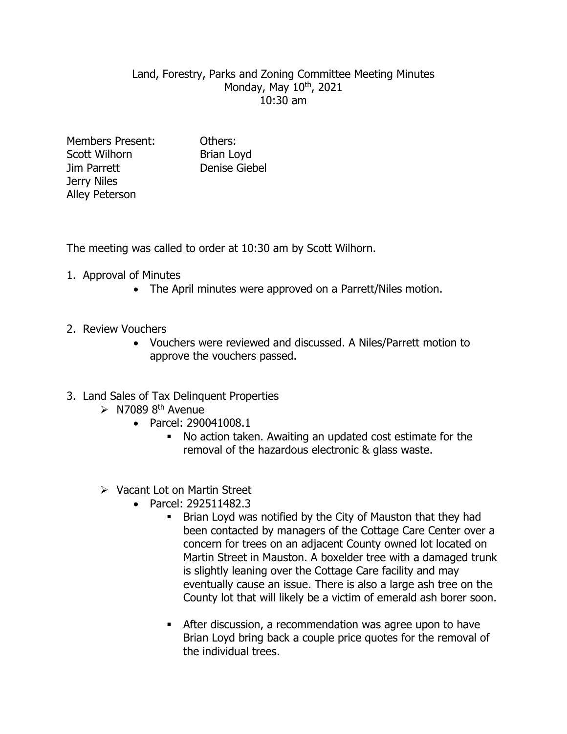## Land, Forestry, Parks and Zoning Committee Meeting Minutes Monday, May 10<sup>th</sup>, 2021 10:30 am

Members Present: Others: Scott Wilhorn Brian Lovd Jim Parrett Denise Giebel Jerry Niles Alley Peterson

The meeting was called to order at 10:30 am by Scott Wilhorn.

- 1. Approval of Minutes
	- The April minutes were approved on a Parrett/Niles motion.
- 2. Review Vouchers
	- Vouchers were reviewed and discussed. A Niles/Parrett motion to approve the vouchers passed.
- 3. Land Sales of Tax Delinquent Properties
	- $\triangleright$  N7089 8<sup>th</sup> Avenue
		- Parcel: 290041008.1
			- No action taken. Awaiting an updated cost estimate for the removal of the hazardous electronic & glass waste.
	- Vacant Lot on Martin Street
		- Parcel: 292511482.3
			- Brian Loyd was notified by the City of Mauston that they had been contacted by managers of the Cottage Care Center over a concern for trees on an adjacent County owned lot located on Martin Street in Mauston. A boxelder tree with a damaged trunk is slightly leaning over the Cottage Care facility and may eventually cause an issue. There is also a large ash tree on the County lot that will likely be a victim of emerald ash borer soon.
			- After discussion, a recommendation was agree upon to have Brian Loyd bring back a couple price quotes for the removal of the individual trees.